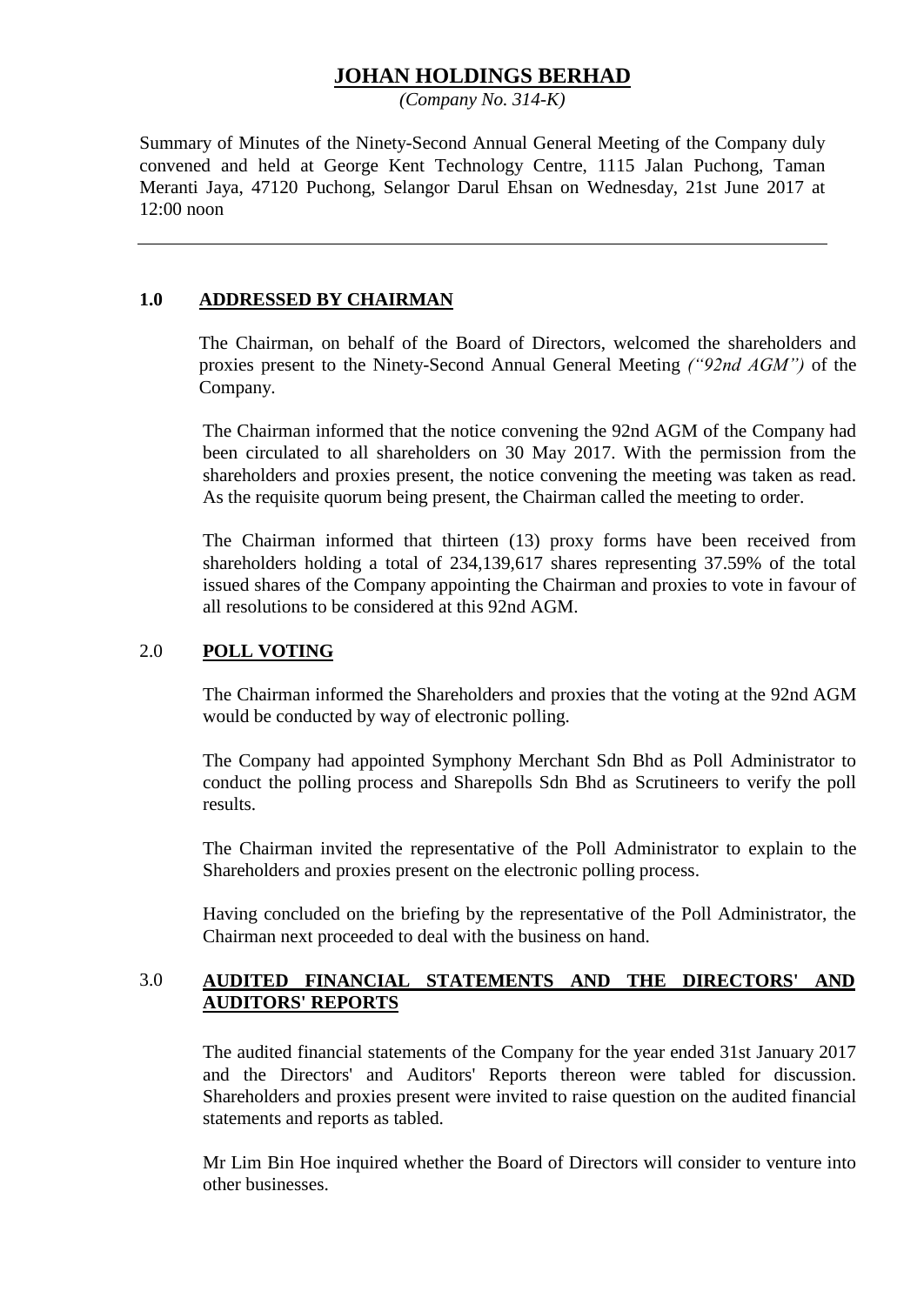# **JOHAN HOLDINGS BERHAD**

*(Company No. 314-K)*

Summary of Minutes of the Ninety-Second Annual General Meeting of the Company duly convened and held at George Kent Technology Centre, 1115 Jalan Puchong, Taman Meranti Jaya, 47120 Puchong, Selangor Darul Ehsan on Wednesday, 21st June 2017 at 12:00 noon

#### **1.0 ADDRESSED BY CHAIRMAN**

The Chairman, on behalf of the Board of Directors, welcomed the shareholders and proxies present to the Ninety-Second Annual General Meeting *("92nd AGM")* of the Company.

The Chairman informed that the notice convening the 92nd AGM of the Company had been circulated to all shareholders on 30 May 2017. With the permission from the shareholders and proxies present, the notice convening the meeting was taken as read. As the requisite quorum being present, the Chairman called the meeting to order.

The Chairman informed that thirteen (13) proxy forms have been received from shareholders holding a total of 234,139,617 shares representing 37.59% of the total issued shares of the Company appointing the Chairman and proxies to vote in favour of all resolutions to be considered at this 92nd AGM.

#### 2.0 **POLL VOTING**

The Chairman informed the Shareholders and proxies that the voting at the 92nd AGM would be conducted by way of electronic polling.

The Company had appointed Symphony Merchant Sdn Bhd as Poll Administrator to conduct the polling process and Sharepolls Sdn Bhd as Scrutineers to verify the poll results.

The Chairman invited the representative of the Poll Administrator to explain to the Shareholders and proxies present on the electronic polling process.

Having concluded on the briefing by the representative of the Poll Administrator, the Chairman next proceeded to deal with the business on hand.

### 3.0 **AUDITED FINANCIAL STATEMENTS AND THE DIRECTORS' AND AUDITORS' REPORTS**

The audited financial statements of the Company for the year ended 31st January 2017 and the Directors' and Auditors' Reports thereon were tabled for discussion. Shareholders and proxies present were invited to raise question on the audited financial statements and reports as tabled.

Mr Lim Bin Hoe inquired whether the Board of Directors will consider to venture into other businesses.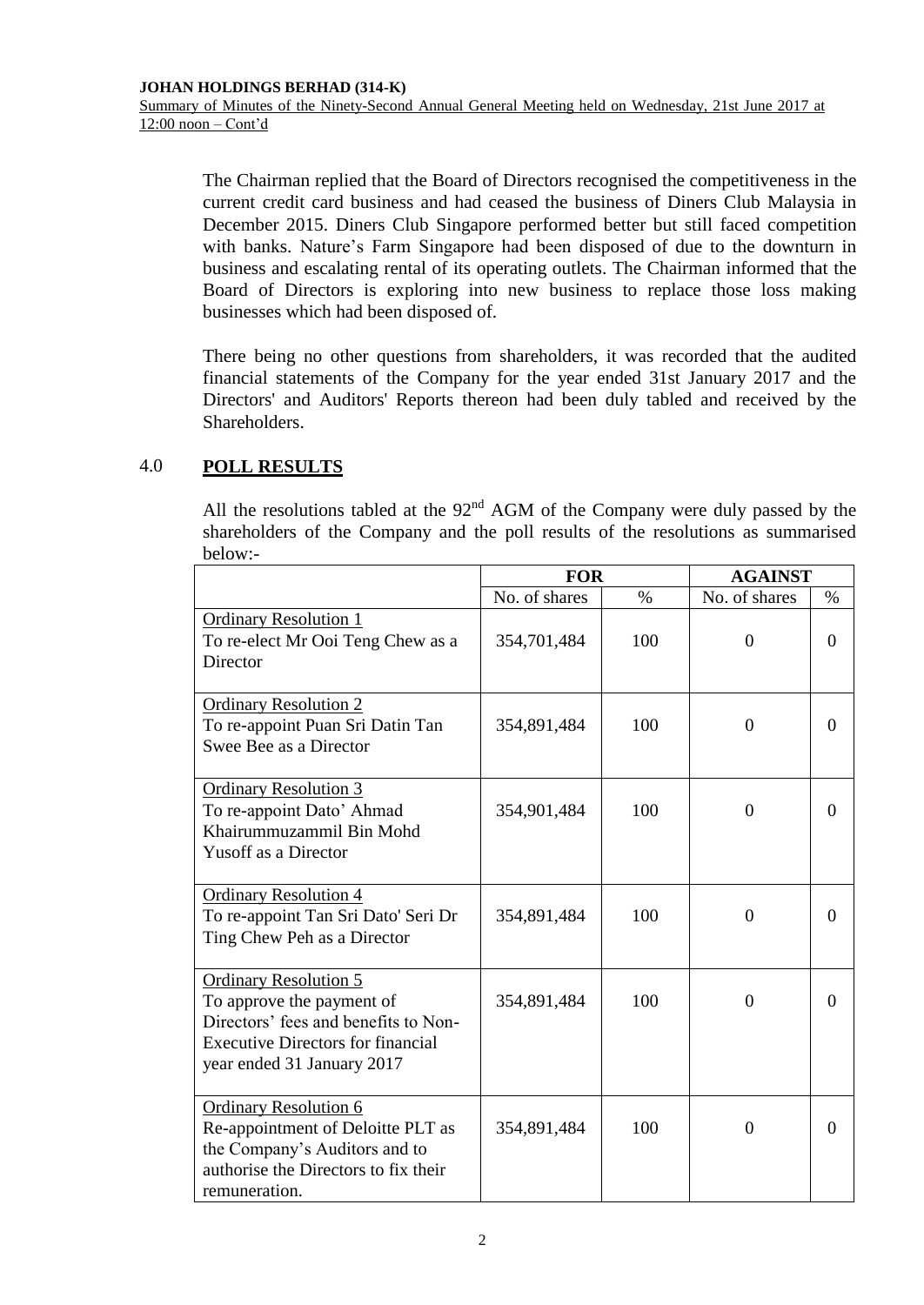The Chairman replied that the Board of Directors recognised the competitiveness in the current credit card business and had ceased the business of Diners Club Malaysia in December 2015. Diners Club Singapore performed better but still faced competition with banks. Nature's Farm Singapore had been disposed of due to the downturn in business and escalating rental of its operating outlets. The Chairman informed that the Board of Directors is exploring into new business to replace those loss making businesses which had been disposed of.

There being no other questions from shareholders, it was recorded that the audited financial statements of the Company for the year ended 31st January 2017 and the Directors' and Auditors' Reports thereon had been duly tabled and received by the Shareholders.

### 4.0 **POLL RESULTS**

All the resolutions tabled at the  $92<sup>nd</sup>$  AGM of the Company were duly passed by the shareholders of the Company and the poll results of the resolutions as summarised below:-

|                                                                                                                                                                             | <b>FOR</b>    |      | <b>AGAINST</b> |          |
|-----------------------------------------------------------------------------------------------------------------------------------------------------------------------------|---------------|------|----------------|----------|
|                                                                                                                                                                             | No. of shares | $\%$ | No. of shares  | $\%$     |
| <b>Ordinary Resolution 1</b><br>To re-elect Mr Ooi Teng Chew as a<br>Director                                                                                               | 354,701,484   | 100  | $\overline{0}$ | $\theta$ |
| <b>Ordinary Resolution 2</b><br>To re-appoint Puan Sri Datin Tan<br>Swee Bee as a Director                                                                                  | 354,891,484   | 100  | $\overline{0}$ | $\Omega$ |
| <b>Ordinary Resolution 3</b><br>To re-appoint Dato' Ahmad<br>Khairummuzammil Bin Mohd<br><b>Yusoff as a Director</b>                                                        | 354,901,484   | 100  | $\theta$       | $\Omega$ |
| <b>Ordinary Resolution 4</b><br>To re-appoint Tan Sri Dato' Seri Dr<br>Ting Chew Peh as a Director                                                                          | 354,891,484   | 100  | $\theta$       | $\theta$ |
| <b>Ordinary Resolution 5</b><br>To approve the payment of<br>Directors' fees and benefits to Non-<br><b>Executive Directors for financial</b><br>year ended 31 January 2017 | 354,891,484   | 100  | $\theta$       | $\Omega$ |
| <b>Ordinary Resolution 6</b><br>Re-appointment of Deloitte PLT as<br>the Company's Auditors and to<br>authorise the Directors to fix their<br>remuneration.                 | 354,891,484   | 100  | $\overline{0}$ | $\Omega$ |